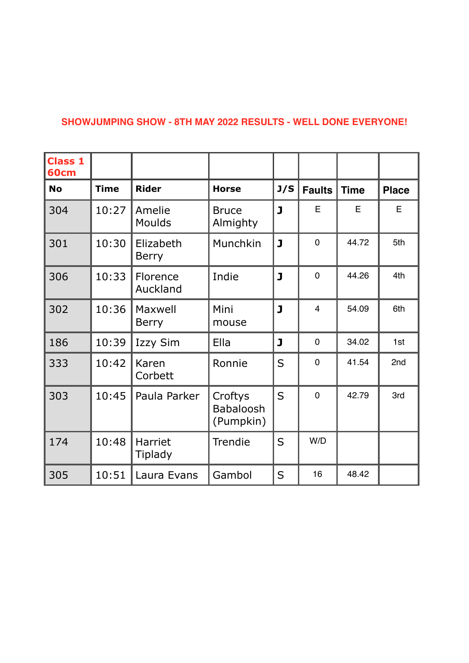## **SHOWJUMPING SHOW - 8TH MAY 2022 RESULTS - WELL DONE EVERYONE!**

| <b>Class 1</b><br>60cm |             |                           |                                          |                |                |             |              |
|------------------------|-------------|---------------------------|------------------------------------------|----------------|----------------|-------------|--------------|
| <b>No</b>              | <b>Time</b> | <b>Rider</b>              | <b>Horse</b>                             | J/S            | <b>Faults</b>  | <b>Time</b> | <b>Place</b> |
| 304                    | 10:27       | Amelie<br>Moulds          | <b>Bruce</b><br>Almighty                 | $\mathbf{J}$   | E              | E           | E            |
| 301                    | 10:30       | Elizabeth<br><b>Berry</b> | Munchkin                                 | J              | $\overline{0}$ | 44.72       | 5th          |
| 306                    | 10:33       | Florence<br>Auckland      | Indie                                    | $\mathbf{J}$   | $\overline{0}$ | 44.26       | 4th          |
| 302                    | 10:36       | Maxwell<br><b>Berry</b>   | Mini<br>mouse                            | J              | $\overline{4}$ | 54.09       | 6th          |
| 186                    | 10:39       | <b>Izzy Sim</b>           | Ella                                     | J              | $\mathbf 0$    | 34.02       | 1st          |
| 333                    | 10:42       | Karen<br>Corbett          | Ronnie                                   | S              | $\overline{0}$ | 41.54       | 2nd          |
| 303                    | 10:45       | Paula Parker              | Croftys<br><b>Babaloosh</b><br>(Pumpkin) | $\overline{S}$ | $\overline{0}$ | 42.79       | 3rd          |
| 174                    | 10:48       | Harriet<br>Tiplady        | Trendie                                  | S              | W/D            |             |              |
| 305                    | 10:51       | Laura Evans               | Gambol                                   | S              | 16             | 48.42       |              |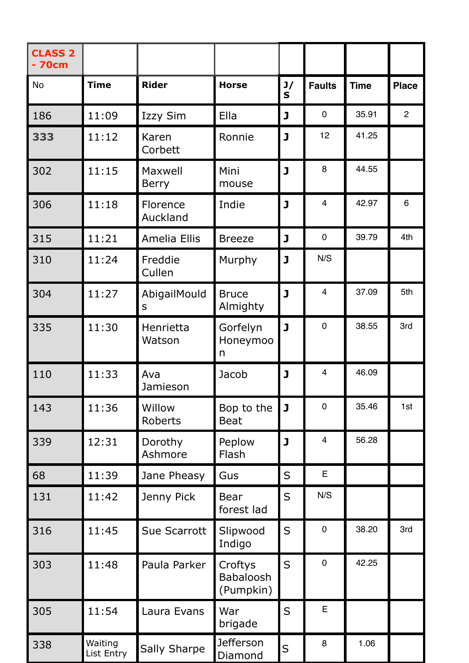| <b>CLASS 2</b><br>- 70cm |                       |                         |                                   |                         |                         |             |                |
|--------------------------|-----------------------|-------------------------|-----------------------------------|-------------------------|-------------------------|-------------|----------------|
| <b>No</b>                | <b>Time</b>           | <b>Rider</b>            | <b>Horse</b>                      | J/<br>$\mathbf S$       | <b>Faults</b>           | <b>Time</b> | <b>Place</b>   |
| 186                      | 11:09                 | Izzy Sim                | Ella                              | J                       | $\mathbf 0$             | 35.91       | $\overline{2}$ |
| 333                      | 11:12                 | Karen<br>Corbett        | Ronnie                            | $\overline{\mathbf{J}}$ | 12                      | 41.25       |                |
| 302                      | 11:15                 | Maxwell<br><b>Berry</b> | Mini<br>mouse                     | $\mathbf{J}$            | 8                       | 44.55       |                |
| 306                      | 11:18                 | Florence<br>Auckland    | Indie                             | J                       | $\overline{4}$          | 42.97       | 6              |
| 315                      | 11:21                 | <b>Amelia Ellis</b>     | <b>Breeze</b>                     | J                       | $\mathbf 0$             | 39.79       | 4th            |
| 310                      | 11:24                 | Freddie<br>Cullen       | Murphy                            | $\mathbf{J}$            | N/S                     |             |                |
| 304                      | 11:27                 | AbigailMould<br>S       | <b>Bruce</b><br>Almighty          | $\mathbf{J}$            | $\overline{4}$          | 37.09       | 5th            |
| 335                      | 11:30                 | Henrietta<br>Watson     | Gorfelyn<br>Honeymoo<br>n         | $\mathbf{J}$            | $\overline{0}$          | 38.55       | 3rd            |
| 110                      | 11:33                 | Ava<br>Jamieson         | Jacob                             | $\mathbf{J}$            | $\overline{4}$          | 46.09       |                |
| 143                      | 11:36                 | Willow<br>Roberts       | Bop to the<br><b>Beat</b>         | $\mathbf{J}$            | $\overline{0}$          | 35.46       | 1st            |
| 339                      | 12:31                 | Dorothy<br>Ashmore      | Peplow<br>Flash                   | $\mathbf{J}$            | $\overline{\mathbf{4}}$ | 56.28       |                |
| 68                       | 11:39                 | Jane Pheasy             | Gus                               | S                       | E                       |             |                |
| 131                      | 11:42                 | Jenny Pick              | <b>Bear</b><br>forest lad         | S                       | N/S                     |             |                |
| 316                      | 11:45                 | Sue Scarrott            | Slipwood<br>Indigo                | S                       | $\mathbf 0$             | 38.20       | 3rd            |
| 303                      | 11:48                 | Paula Parker            | Croftys<br>Babaloosh<br>(Pumpkin) | S                       | $\pmb{0}$               | 42.25       |                |
| 305                      | 11:54                 | Laura Evans             | War<br>brigade                    | S                       | E                       |             |                |
| 338                      | Waiting<br>List Entry | <b>Sally Sharpe</b>     | <b>Jefferson</b><br>Diamond       | S                       | 8                       | 1.06        |                |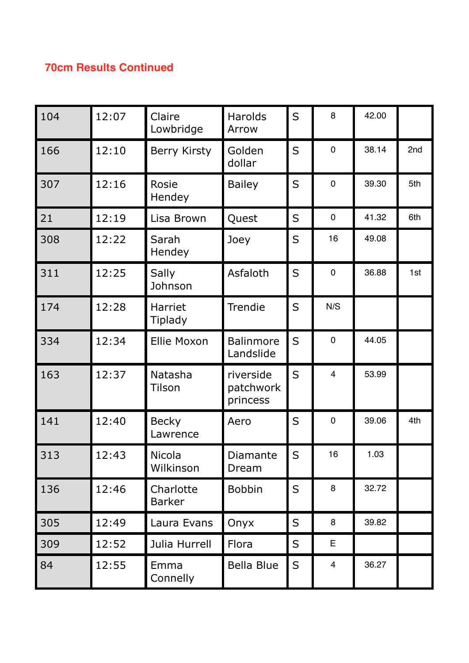## **70cm Results Continued**

| 104 | 12:07 | Claire<br>Lowbridge        | Harolds<br>Arrow                   | S           | 8              | 42.00 |     |
|-----|-------|----------------------------|------------------------------------|-------------|----------------|-------|-----|
| 166 | 12:10 | <b>Berry Kirsty</b>        | Golden<br>dollar                   | S           | $\mathbf 0$    | 38.14 | 2nd |
| 307 | 12:16 | Rosie<br>Hendey            | <b>Bailey</b>                      | S           | $\mathbf 0$    | 39.30 | 5th |
| 21  | 12:19 | Lisa Brown                 | Quest                              | S           | $\mathbf 0$    | 41.32 | 6th |
| 308 | 12:22 | Sarah<br>Hendey            | Joey                               | S           | 16             | 49.08 |     |
| 311 | 12:25 | Sally<br>Johnson           | Asfaloth                           | S           | $\mathbf 0$    | 36.88 | 1st |
| 174 | 12:28 | Harriet<br><b>Tiplady</b>  | Trendie                            | S           | N/S            |       |     |
| 334 | 12:34 | <b>Ellie Moxon</b>         | <b>Balinmore</b><br>Landslide      | S           | $\overline{0}$ | 44.05 |     |
| 163 | 12:37 | Natasha<br><b>Tilson</b>   | riverside<br>patchwork<br>princess | S           | $\overline{4}$ | 53.99 |     |
| 141 | 12:40 | <b>Becky</b><br>Lawrence   | Aero                               | S           | $\mathbf 0$    | 39.06 | 4th |
| 313 | 12:43 | <b>Nicola</b><br>Wilkinson | Diamante<br>Dream                  | S           | 16             | 1.03  |     |
| 136 | 12:46 | Charlotte<br><b>Barker</b> | <b>Bobbin</b>                      | $\mathsf S$ | 8              | 32.72 |     |
| 305 | 12:49 | Laura Evans                | Onyx                               | $\mathsf S$ | 8              | 39.82 |     |
| 309 | 12:52 | Julia Hurrell              | Flora                              | S           | E              |       |     |
| 84  | 12:55 | Emma<br>Connelly           | <b>Bella Blue</b>                  | S           | $\overline{4}$ | 36.27 |     |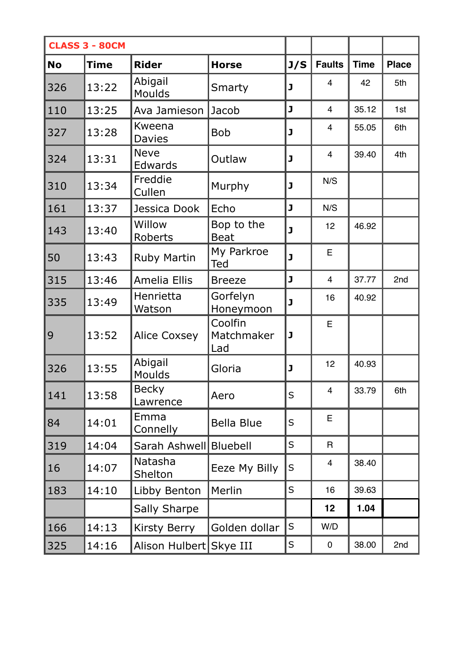| <b>CLASS 3 - 80CM</b> |             |                               |                              |         |                |             |              |
|-----------------------|-------------|-------------------------------|------------------------------|---------|----------------|-------------|--------------|
| <b>No</b>             | <b>Time</b> | <b>Rider</b>                  | <b>Horse</b>                 | J/S     | <b>Faults</b>  | <b>Time</b> | <b>Place</b> |
| 326                   | 13:22       | Abigail<br>Moulds             | Smarty                       | J       | $\overline{4}$ | 42          | 5th          |
| 110                   | 13:25       | Ava Jamieson                  | Jacob                        | J       | $\overline{4}$ | 35.12       | 1st          |
| 327                   | 13:28       | Kweena<br><b>Davies</b>       | <b>Bob</b>                   | J       | $\overline{4}$ | 55.05       | 6th          |
| 324                   | 13:31       | <b>Neve</b><br><b>Edwards</b> | Outlaw                       | J       | $\overline{4}$ | 39.40       | 4th          |
| 310                   | 13:34       | Freddie<br>Cullen             | Murphy                       | J       | N/S            |             |              |
| 161                   | 13:37       | Jessica Dook                  | Echo                         | J       | N/S            |             |              |
| 143                   | 13:40       | Willow<br>Roberts             | Bop to the<br><b>Beat</b>    | J       | 12             | 46.92       |              |
| 50                    | 13:43       | <b>Ruby Martin</b>            | My Parkroe<br>Ted            | J       | E              |             |              |
| 315                   | 13:46       | <b>Amelia Ellis</b>           | <b>Breeze</b>                | J       | $\overline{4}$ | 37.77       | 2nd          |
| 335                   | 13:49       | Henrietta<br>Watson           | Gorfelyn<br>Honeymoon        | J       | 16             | 40.92       |              |
| 9                     | 13:52       | <b>Alice Coxsey</b>           | Coolfin<br>Matchmaker<br>Lad | J       | E              |             |              |
| 326                   | 13:55       | Abigail<br>Moulds             | Gloria                       | J       | 12             | 40.93       |              |
| 141                   | 13:58       | <b>Becky</b><br>awrence       | Aero                         | $\sf S$ | $\overline{4}$ | 33.79       | 6th          |
| 84                    | 14:01       | Emma<br>Connelly              | <b>Bella Blue</b>            | S       | Е              |             |              |
| 319                   | 14:04       | Sarah Ashwell                 | <b>Bluebell</b>              | S       | $\mathsf{R}$   |             |              |
| 16                    | 14:07       | <b>Natasha</b><br>Shelton     | Eeze My Billy                | S       | $\overline{4}$ | 38.40       |              |
| 183                   | 14:10       | Libby Benton                  | Merlin                       | S       | 16             | 39.63       |              |
|                       |             | <b>Sally Sharpe</b>           |                              |         | 12             | 1.04        |              |
| 166                   | 14:13       | <b>Kirsty Berry</b>           | Golden dollar                | S       | W/D            |             |              |
| 325                   | 14:16       | Alison Hulbert Skye III       |                              | S       | 0              | 38.00       | 2nd          |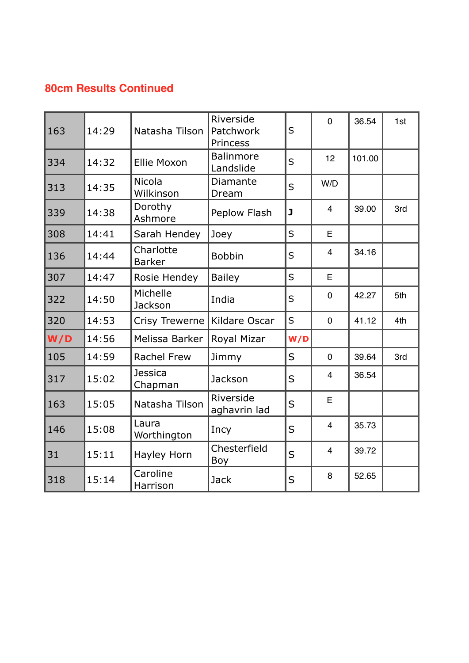## **80cm Results Continued**

| 163 | 14:29 | Natasha Tilson             | Riverside<br>Patchwork<br>Princess | S   | $\overline{0}$ | 36.54  | 1st |
|-----|-------|----------------------------|------------------------------------|-----|----------------|--------|-----|
| 334 | 14:32 | <b>Ellie Moxon</b>         | <b>Balinmore</b><br>Landslide      | S   | 12             | 101.00 |     |
| 313 | 14:35 | <b>Nicola</b><br>Wilkinson | Diamante<br>Dream                  | S   | W/D            |        |     |
| 339 | 14:38 | Dorothy<br>Ashmore         | Peplow Flash                       | J   | $\overline{4}$ | 39.00  | 3rd |
| 308 | 14:41 | Sarah Hendey               | Joey                               | S   | E              |        |     |
| 136 | 14:44 | Charlotte<br><b>Barker</b> | <b>Bobbin</b>                      | S   | $\overline{4}$ | 34.16  |     |
| 307 | 14:47 | Rosie Hendey               | <b>Bailey</b>                      | S   | E              |        |     |
| 322 | 14:50 | Michelle<br>Jackson        | India                              | S   | $\overline{0}$ | 42.27  | 5th |
| 320 | 14:53 | <b>Crisy Trewerne</b>      | Kildare Oscar                      | S   | $\mathbf 0$    | 41.12  | 4th |
| W/D | 14:56 | Melissa Barker             | Royal Mizar                        | W/D |                |        |     |
| 105 | 14:59 | <b>Rachel Frew</b>         | Jimmy                              | S   | $\mathbf 0$    | 39.64  | 3rd |
| 317 | 15:02 | <b>Jessica</b><br>Chapman  | Jackson                            | S   | $\overline{4}$ | 36.54  |     |
| 163 | 15:05 | Natasha Tilson             | Riverside<br>aghavrin lad          | S   | E              |        |     |
| 146 | 15:08 | Laura<br>Worthington       | Incy                               | S   | $\overline{4}$ | 35.73  |     |
| 31  | 15:11 | Hayley Horn                | Chesterfield<br>Boy                | S   | $\overline{4}$ | 39.72  |     |
| 318 | 15:14 | Caroline<br>Harrison       | <b>Jack</b>                        | S   | 8              | 52.65  |     |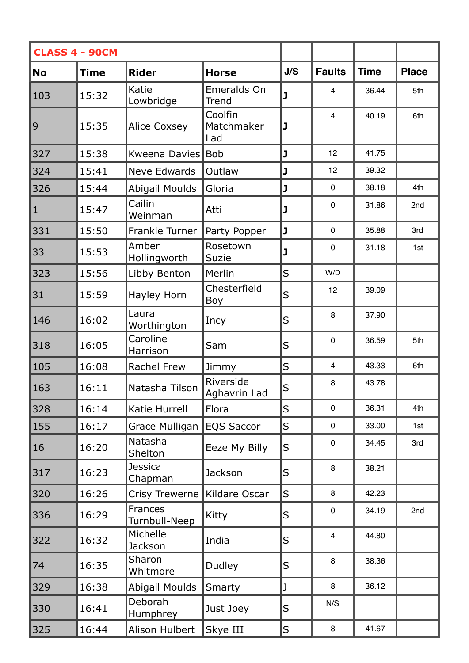| <b>CLASS 4 - 90CM</b> |             |                                 |                              |         |                         |             |              |
|-----------------------|-------------|---------------------------------|------------------------------|---------|-------------------------|-------------|--------------|
| <b>No</b>             | <b>Time</b> | <b>Rider</b>                    | <b>Horse</b>                 | J/S     | <b>Faults</b>           | <b>Time</b> | <b>Place</b> |
| 103                   | 15:32       | Katie<br>Lowbridge              | Emeralds On<br>Trend         | J       | $\overline{\mathbf{4}}$ | 36.44       | 5th          |
| 9                     | 15:35       | <b>Alice Coxsey</b>             | Coolfin<br>Matchmaker<br>Lad | J       | $\overline{4}$          | 40.19       | 6th          |
| 327                   | 15:38       | Kweena Davies                   | <b>Bob</b>                   | J       | 12                      | 41.75       |              |
| 324                   | 15:41       | <b>Neve Edwards</b>             | Outlaw                       | J       | 12                      | 39.32       |              |
| 326                   | 15:44       | <b>Abigail Moulds</b>           | Gloria                       | J       | $\mathbf 0$             | 38.18       | 4th          |
| $\mathbf{1}$          | 15:47       | Cailin<br>Weinman               | Atti                         | J       | $\mathbf 0$             | 31.86       | 2nd          |
| 331                   | 15:50       | Frankie Turner                  | Party Popper                 | J       | $\mathbf 0$             | 35.88       | 3rd          |
| 33                    | 15:53       | Amber<br>Hollingworth           | Rosetown<br><b>Suzie</b>     | J       | $\mathbf 0$             | 31.18       | 1st          |
| 323                   | 15:56       | Libby Benton                    | Merlin                       | $\sf S$ | W/D                     |             |              |
| 31                    | 15:59       | Hayley Horn                     | Chesterfield<br>Boy          | S       | 12                      | 39.09       |              |
| 146                   | 16:02       | Laura<br>Worthington            | Incy                         | S       | 8                       | 37.90       |              |
| 318                   | 16:05       | Caroline<br>Harrison            | Sam                          | S       | $\mathbf 0$             | 36.59       | 5th          |
| 105                   | 16:08       | Rachel Frew                     | Jimmy                        | $\sf S$ | $\overline{4}$          | 43.33       | 6th          |
| 163                   | 16:11       | Natasha Tilson                  | Riverside<br>Aghavrin Lad    | S       | 8                       | 43.78       |              |
| 328                   | 16:14       | Katie Hurrell                   | Flora                        | S       | $\mathbf 0$             | 36.31       | 4th          |
| 155                   | 16:17       | Grace Mulligan                  | <b>EQS Saccor</b>            | $\sf S$ | $\mathbf 0$             | 33.00       | 1st          |
| 16                    | 16:20       | Natasha<br>Shelton              | Eeze My Billy                | S       | $\mathbf 0$             | 34.45       | 3rd          |
| 317                   | 16:23       | Jessica<br>Chapman              | <b>Jackson</b>               | S       | 8                       | 38.21       |              |
| 320                   | 16:26       | Crisy Trewerne                  | Kildare Oscar                | $\sf S$ | 8                       | 42.23       |              |
| 336                   | 16:29       | <b>Frances</b><br>Turnbull-Neep | Kitty                        | $\sf S$ | $\mathbf 0$             | 34.19       | 2nd          |
| 322                   | 16:32       | Michelle<br>Jackson             | India                        | S       | $\overline{4}$          | 44.80       |              |
| 74                    | 16:35       | Sharon<br>Whitmore              | Dudley                       | S       | 8                       | 38.36       |              |
| 329                   | 16:38       | Abigail Moulds                  | Smarty                       | J       | 8                       | 36.12       |              |
| 330                   | 16:41       | Deborah<br>Humphrey             | Just Joey                    | S       | N/S                     |             |              |
| 325                   | 16:44       | Alison Hulbert                  | Skye III                     | $\sf S$ | 8                       | 41.67       |              |